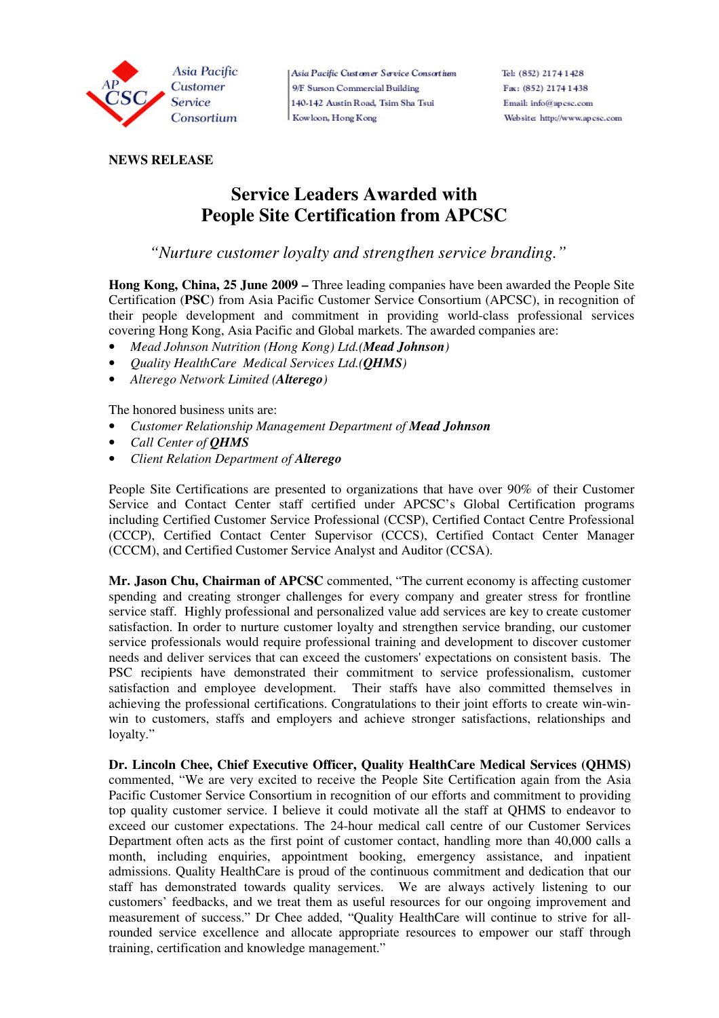

Asia Pacific Customer Service Consortium 9/F Surson Commercial Building 140-142 Austin Road, Tsim Sha Tsui Kowloon, Hong Kong

## **NEWS RELEASE**

# **Service Leaders Awarded with People Site Certification from APCSC**

 *"Nurture customer loyalty and strengthen service branding."* 

**Hong Kong, China, 25 June 2009 –** Three leading companies have been awarded the People Site Certification (**PSC**) from Asia Pacific Customer Service Consortium (APCSC), in recognition of their people development and commitment in providing world-class professional services covering Hong Kong, Asia Pacific and Global markets. The awarded companies are:

- *Mead Johnson Nutrition (Hong Kong) Ltd.(Mead Johnson)*
- *Quality HealthCare Medical Services Ltd.(QHMS)*
- *Alterego Network Limited (Alterego)*

The honored business units are:

- *Customer Relationship Management Department of Mead Johnson*
- *Call Center of QHMS*
- *Client Relation Department of Alterego*

People Site Certifications are presented to organizations that have over 90% of their Customer Service and Contact Center staff certified under APCSC's Global Certification programs including Certified Customer Service Professional (CCSP), Certified Contact Centre Professional (CCCP), Certified Contact Center Supervisor (CCCS), Certified Contact Center Manager (CCCM), and Certified Customer Service Analyst and Auditor (CCSA).

**Mr. Jason Chu, Chairman of APCSC** commented, "The current economy is affecting customer spending and creating stronger challenges for every company and greater stress for frontline service staff. Highly professional and personalized value add services are key to create customer satisfaction. In order to nurture customer loyalty and strengthen service branding, our customer service professionals would require professional training and development to discover customer needs and deliver services that can exceed the customers' expectations on consistent basis. The PSC recipients have demonstrated their commitment to service professionalism, customer satisfaction and employee development. Their staffs have also committed themselves in achieving the professional certifications. Congratulations to their joint efforts to create win-winwin to customers, staffs and employers and achieve stronger satisfactions, relationships and loyalty."

**Dr. Lincoln Chee, Chief Executive Officer, Quality HealthCare Medical Services (QHMS)** commented, "We are very excited to receive the People Site Certification again from the Asia Pacific Customer Service Consortium in recognition of our efforts and commitment to providing top quality customer service. I believe it could motivate all the staff at QHMS to endeavor to exceed our customer expectations. The 24-hour medical call centre of our Customer Services Department often acts as the first point of customer contact, handling more than 40,000 calls a month, including enquiries, appointment booking, emergency assistance, and inpatient admissions. Quality HealthCare is proud of the continuous commitment and dedication that our staff has demonstrated towards quality services. We are always actively listening to our customers' feedbacks, and we treat them as useful resources for our ongoing improvement and measurement of success." Dr Chee added, "Quality HealthCare will continue to strive for allrounded service excellence and allocate appropriate resources to empower our staff through training, certification and knowledge management."